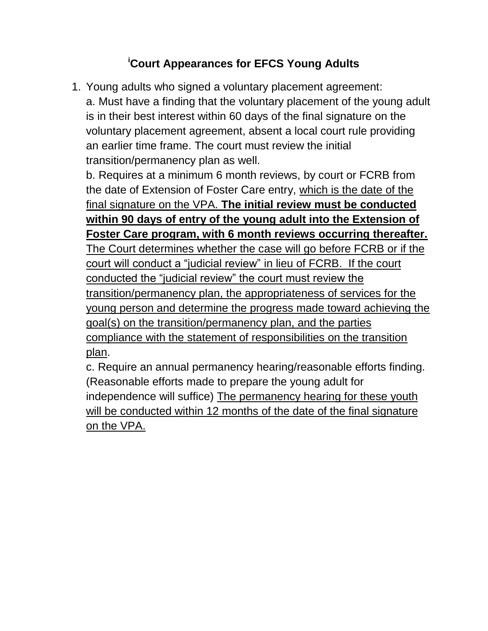## **<sup>i</sup>Court Appearances for EFCS Young Adults**

1. Young adults who signed a voluntary placement agreement: a. Must have a finding that the voluntary placement of the young adult is in their best interest within 60 days of the final signature on the voluntary placement agreement, absent a local court rule providing an earlier time frame. The court must review the initial transition/permanency plan as well.

b. Requires at a minimum 6 month reviews, by court or FCRB from the date of Extension of Foster Care entry, which is the date of the final signature on the VPA. **The initial review must be conducted within 90 days of entry of the young adult into the Extension of Foster Care program, with 6 month reviews occurring thereafter.** The Court determines whether the case will go before FCRB or if the court will conduct a "judicial review" in lieu of FCRB. If the court conducted the "judicial review" the court must review the transition/permanency plan, the appropriateness of services for the young person and determine the progress made toward achieving the goal(s) on the transition/permanency plan, and the parties compliance with the statement of responsibilities on the transition plan.

c. Require an annual permanency hearing/reasonable efforts finding. (Reasonable efforts made to prepare the young adult for independence will suffice) The permanency hearing for these youth will be conducted within 12 months of the date of the final signature on the VPA.